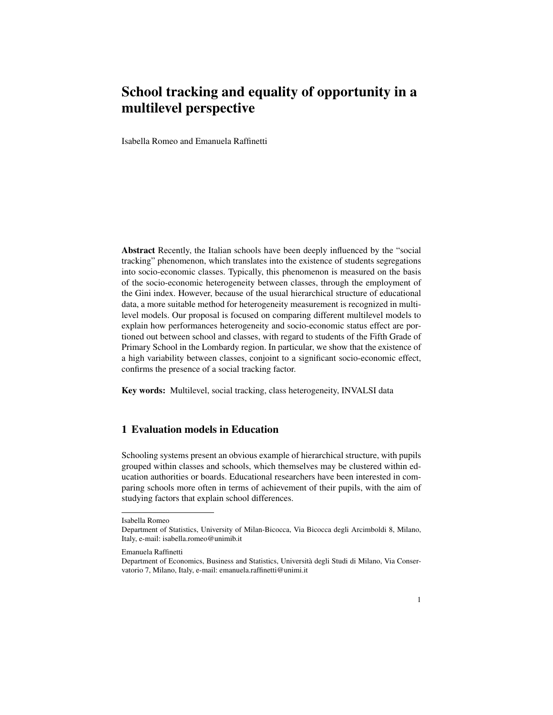# School tracking and equality of opportunity in a multilevel perspective

Isabella Romeo and Emanuela Raffinetti

Abstract Recently, the Italian schools have been deeply influenced by the "social tracking" phenomenon, which translates into the existence of students segregations into socio-economic classes. Typically, this phenomenon is measured on the basis of the socio-economic heterogeneity between classes, through the employment of the Gini index. However, because of the usual hierarchical structure of educational data, a more suitable method for heterogeneity measurement is recognized in multilevel models. Our proposal is focused on comparing different multilevel models to explain how performances heterogeneity and socio-economic status effect are portioned out between school and classes, with regard to students of the Fifth Grade of Primary School in the Lombardy region. In particular, we show that the existence of a high variability between classes, conjoint to a significant socio-economic effect, confirms the presence of a social tracking factor.

Key words: Multilevel, social tracking, class heterogeneity, INVALSI data

# 1 Evaluation models in Education

Schooling systems present an obvious example of hierarchical structure, with pupils grouped within classes and schools, which themselves may be clustered within education authorities or boards. Educational researchers have been interested in comparing schools more often in terms of achievement of their pupils, with the aim of studying factors that explain school differences.

Isabella Romeo

Department of Statistics, University of Milan-Bicocca, Via Bicocca degli Arcimboldi 8, Milano, Italy, e-mail: isabella.romeo@unimib.it

Emanuela Raffinetti

Department of Economics, Business and Statistics, Universita degli Studi di Milano, Via Conser- ` vatorio 7, Milano, Italy, e-mail: emanuela.raffinetti@unimi.it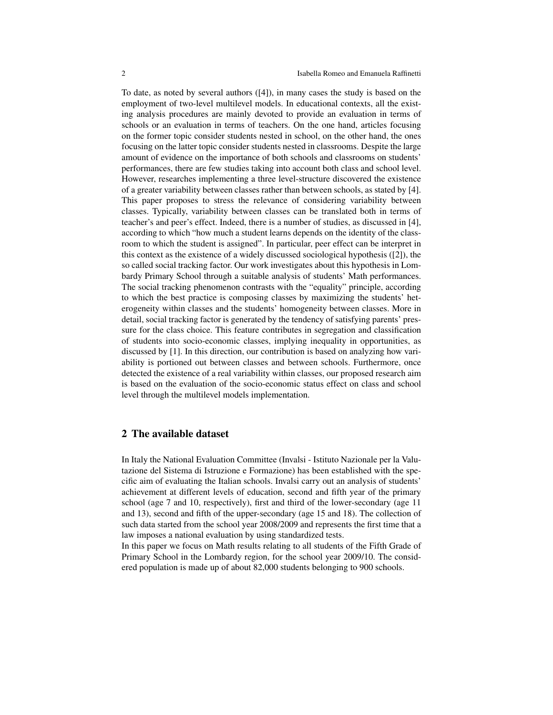To date, as noted by several authors ([4]), in many cases the study is based on the employment of two-level multilevel models. In educational contexts, all the existing analysis procedures are mainly devoted to provide an evaluation in terms of schools or an evaluation in terms of teachers. On the one hand, articles focusing on the former topic consider students nested in school, on the other hand, the ones focusing on the latter topic consider students nested in classrooms. Despite the large amount of evidence on the importance of both schools and classrooms on students' performances, there are few studies taking into account both class and school level. However, researches implementing a three level-structure discovered the existence of a greater variability between classes rather than between schools, as stated by [4]. This paper proposes to stress the relevance of considering variability between classes. Typically, variability between classes can be translated both in terms of teacher's and peer's effect. Indeed, there is a number of studies, as discussed in [4], according to which "how much a student learns depends on the identity of the classroom to which the student is assigned". In particular, peer effect can be interpret in this context as the existence of a widely discussed sociological hypothesis ([2]), the so called social tracking factor. Our work investigates about this hypothesis in Lombardy Primary School through a suitable analysis of students' Math performances. The social tracking phenomenon contrasts with the "equality" principle, according to which the best practice is composing classes by maximizing the students' heterogeneity within classes and the students' homogeneity between classes. More in detail, social tracking factor is generated by the tendency of satisfying parents' pressure for the class choice. This feature contributes in segregation and classification of students into socio-economic classes, implying inequality in opportunities, as discussed by [1]. In this direction, our contribution is based on analyzing how variability is portioned out between classes and between schools. Furthermore, once detected the existence of a real variability within classes, our proposed research aim is based on the evaluation of the socio-economic status effect on class and school level through the multilevel models implementation.

## 2 The available dataset

In Italy the National Evaluation Committee (Invalsi - Istituto Nazionale per la Valutazione del Sistema di Istruzione e Formazione) has been established with the specific aim of evaluating the Italian schools. Invalsi carry out an analysis of students' achievement at different levels of education, second and fifth year of the primary school (age 7 and 10, respectively), first and third of the lower-secondary (age 11 and 13), second and fifth of the upper-secondary (age 15 and 18). The collection of such data started from the school year 2008/2009 and represents the first time that a law imposes a national evaluation by using standardized tests.

In this paper we focus on Math results relating to all students of the Fifth Grade of Primary School in the Lombardy region, for the school year 2009/10. The considered population is made up of about 82,000 students belonging to 900 schools.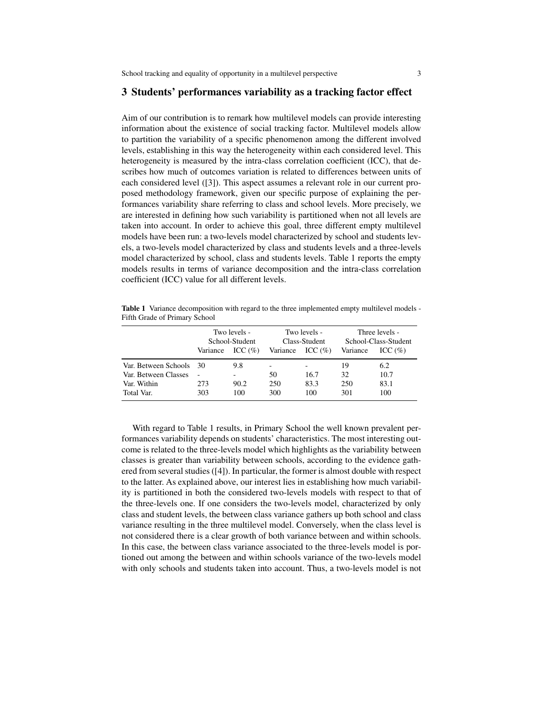#### 3 Students' performances variability as a tracking factor effect

Aim of our contribution is to remark how multilevel models can provide interesting information about the existence of social tracking factor. Multilevel models allow to partition the variability of a specific phenomenon among the different involved levels, establishing in this way the heterogeneity within each considered level. This heterogeneity is measured by the intra-class correlation coefficient (ICC), that describes how much of outcomes variation is related to differences between units of each considered level ([3]). This aspect assumes a relevant role in our current proposed methodology framework, given our specific purpose of explaining the performances variability share referring to class and school levels. More precisely, we are interested in defining how such variability is partitioned when not all levels are taken into account. In order to achieve this goal, three different empty multilevel models have been run: a two-levels model characterized by school and students levels, a two-levels model characterized by class and students levels and a three-levels model characterized by school, class and students levels. Table 1 reports the empty models results in terms of variance decomposition and the intra-class correlation coefficient (ICC) value for all different levels.

Table 1 Variance decomposition with regard to the three implemented empty multilevel models -Fifth Grade of Primary School

|                      | Two levels -<br>School-Student |             | Two levels -<br>Class-Student |             | Three levels -<br>School-Class-Student |             |
|----------------------|--------------------------------|-------------|-------------------------------|-------------|----------------------------------------|-------------|
|                      | Variance                       | ICC $(\% )$ | Variance                      | ICC $(\% )$ | Variance                               | ICC $(\% )$ |
| Var. Between Schools | -30                            | 9.8         | -                             |             | 19                                     | 6.2         |
| Var. Between Classes |                                | ٠           | 50                            | 16.7        | 32                                     | 10.7        |
| Var. Within          | 273                            | 90.2        | 250                           | 83.3        | 250                                    | 83.1        |
| Total Var.           | 303                            | 100         | 300                           | 100         | 301                                    | 100         |

With regard to Table 1 results, in Primary School the well known prevalent performances variability depends on students' characteristics. The most interesting outcome is related to the three-levels model which highlights as the variability between classes is greater than variability between schools, according to the evidence gathered from several studies ([4]). In particular, the former is almost double with respect to the latter. As explained above, our interest lies in establishing how much variability is partitioned in both the considered two-levels models with respect to that of the three-levels one. If one considers the two-levels model, characterized by only class and student levels, the between class variance gathers up both school and class variance resulting in the three multilevel model. Conversely, when the class level is not considered there is a clear growth of both variance between and within schools. In this case, the between class variance associated to the three-levels model is portioned out among the between and within schools variance of the two-levels model with only schools and students taken into account. Thus, a two-levels model is not